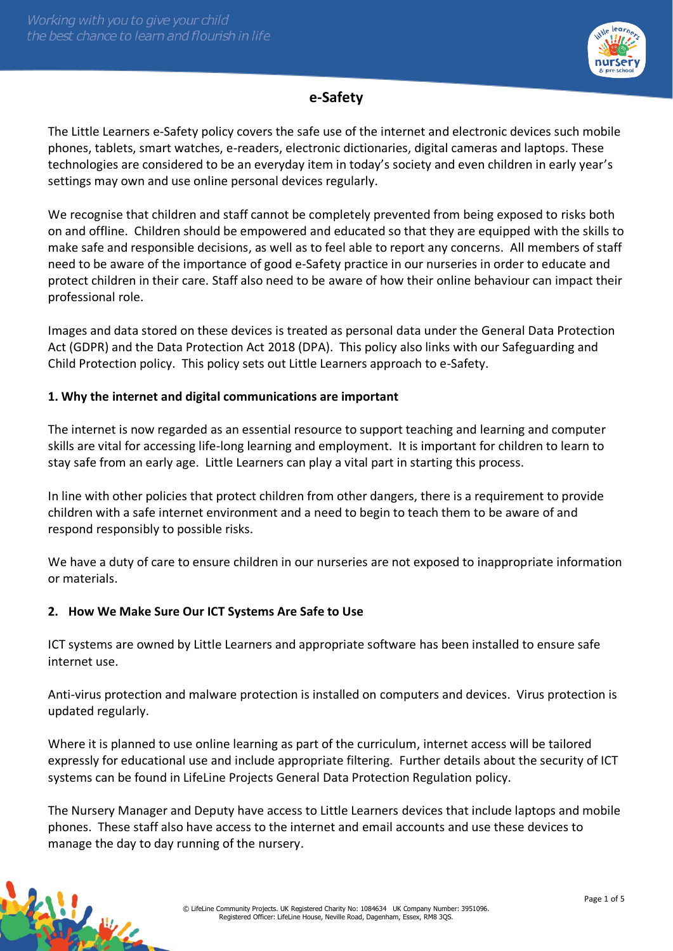

# **e-Safety**

The Little Learners e-Safety policy covers the safe use of the internet and electronic devices such mobile phones, tablets, smart watches, e-readers, electronic dictionaries, digital cameras and laptops. These technologies are considered to be an everyday item in today's society and even children in early year's settings may own and use online personal devices regularly.

We recognise that children and staff cannot be completely prevented from being exposed to risks both on and offline. Children should be empowered and educated so that they are equipped with the skills to make safe and responsible decisions, as well as to feel able to report any concerns. All members of staff need to be aware of the importance of good e-Safety practice in our nurseries in order to educate and protect children in their care. Staff also need to be aware of how their online behaviour can impact their professional role.

Images and data stored on these devices is treated as personal data under the General Data Protection Act (GDPR) and the Data Protection Act 2018 (DPA). This policy also links with our Safeguarding and Child Protection policy. This policy sets out Little Learners approach to e-Safety.

# **1. Why the internet and digital communications are important**

The internet is now regarded as an essential resource to support teaching and learning and computer skills are vital for accessing life-long learning and employment. It is important for children to learn to stay safe from an early age. Little Learners can play a vital part in starting this process.

In line with other policies that protect children from other dangers, there is a requirement to provide children with a safe internet environment and a need to begin to teach them to be aware of and respond responsibly to possible risks.

We have a duty of care to ensure children in our nurseries are not exposed to inappropriate information or materials.

# **2. How We Make Sure Our ICT Systems Are Safe to Use**

ICT systems are owned by Little Learners and appropriate software has been installed to ensure safe internet use.

Anti-virus protection and malware protection is installed on computers and devices. Virus protection is updated regularly.

Where it is planned to use online learning as part of the curriculum, internet access will be tailored expressly for educational use and include appropriate filtering. Further details about the security of ICT systems can be found in LifeLine Projects General Data Protection Regulation policy.

The Nursery Manager and Deputy have access to Little Learners devices that include laptops and mobile phones. These staff also have access to the internet and email accounts and use these devices to manage the day to day running of the nursery.

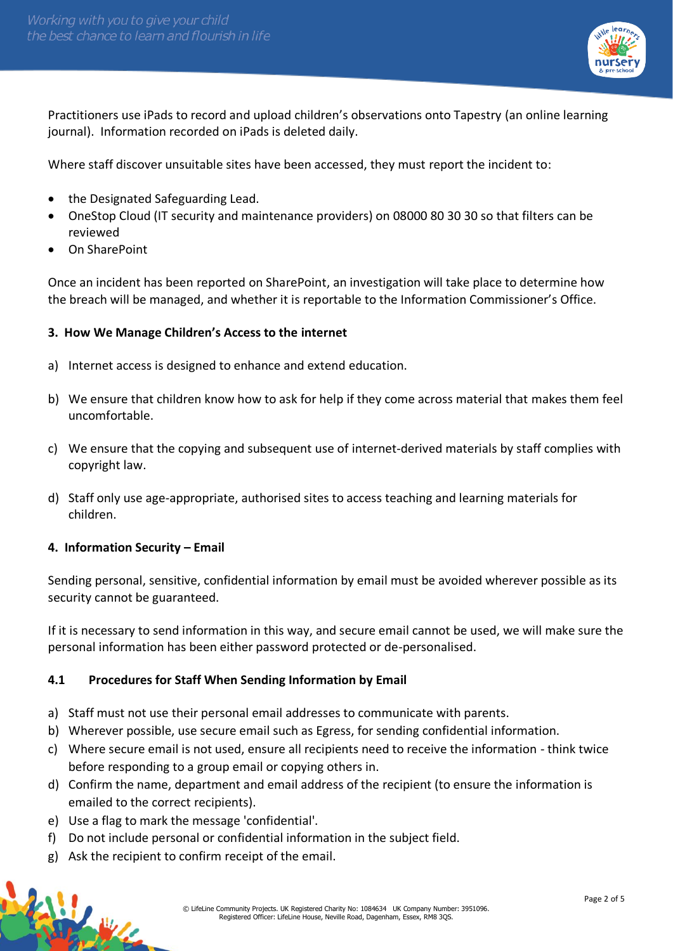

Practitioners use iPads to record and upload children's observations onto Tapestry (an online learning journal). Information recorded on iPads is deleted daily.

Where staff discover unsuitable sites have been accessed, they must report the incident to:

- the Designated Safeguarding Lead.
- OneStop Cloud (IT security and maintenance providers) on 08000 80 30 30 so that filters can be reviewed
- On SharePoint

Once an incident has been reported on SharePoint, an investigation will take place to determine how the breach will be managed, and whether it is reportable to the Information Commissioner's Office.

## **3. How We Manage Children's Access to the internet**

- a) Internet access is designed to enhance and extend education.
- b) We ensure that children know how to ask for help if they come across material that makes them feel uncomfortable.
- c) We ensure that the copying and subsequent use of internet-derived materials by staff complies with copyright law.
- d) Staff only use age-appropriate, authorised sites to access teaching and learning materials for children.

#### **4. Information Security – Email**

Sending personal, sensitive, confidential information by email must be avoided wherever possible as its security cannot be guaranteed.

If it is necessary to send information in this way, and secure email cannot be used, we will make sure the personal information has been either password protected or de-personalised.

#### **4.1 Procedures for Staff When Sending Information by Email**

- a) Staff must not use their personal email addresses to communicate with parents.
- b) Wherever possible, use secure email such as Egress, for sending confidential information.
- c) Where secure email is not used, ensure all recipients need to receive the information think twice before responding to a group email or copying others in.
- d) Confirm the name, department and email address of the recipient (to ensure the information is emailed to the correct recipients).
- e) Use a flag to mark the message 'confidential'.

传送

- f) Do not include personal or confidential information in the subject field.
- g) Ask the recipient to confirm receipt of the email.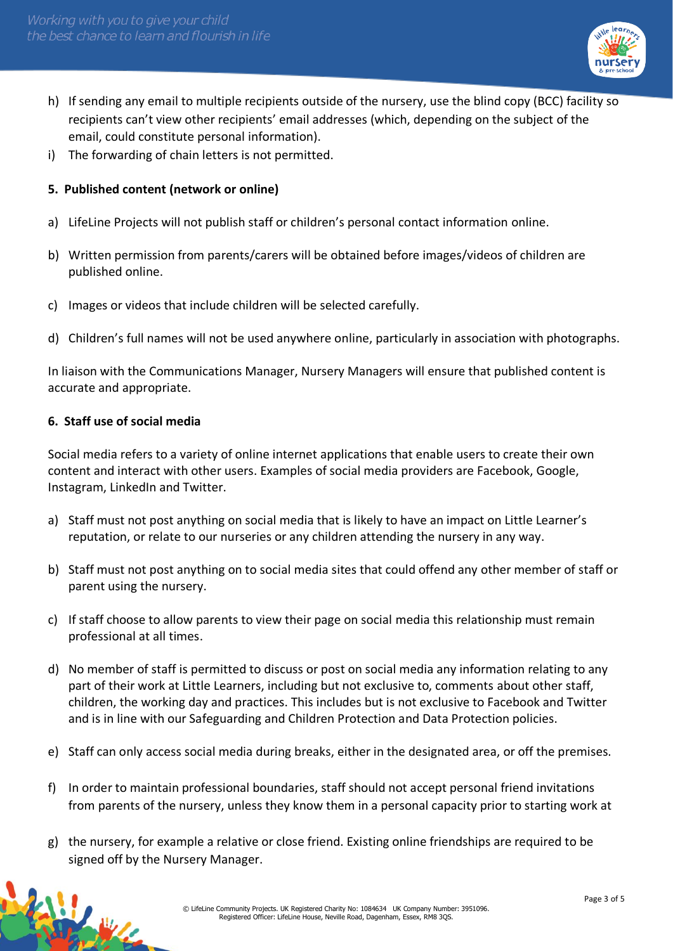

- h) If sending any email to multiple recipients outside of the nursery, use the blind copy (BCC) facility so recipients can't view other recipients' email addresses (which, depending on the subject of the email, could constitute personal information).
- i) The forwarding of chain letters is not permitted.

## **5. Published content (network or online)**

- a) LifeLine Projects will not publish staff or children's personal contact information online.
- b) Written permission from parents/carers will be obtained before images/videos of children are published online.
- c) Images or videos that include children will be selected carefully.
- d) Children's full names will not be used anywhere online, particularly in association with photographs.

In liaison with the Communications Manager, Nursery Managers will ensure that published content is accurate and appropriate.

#### **6. Staff use of social media**

微长

Social media refers to a variety of online internet applications that enable users to create their own content and interact with other users. Examples of social media providers are Facebook, Google, Instagram, LinkedIn and Twitter.

- a) Staff must not post anything on social media that is likely to have an impact on Little Learner's reputation, or relate to our nurseries or any children attending the nursery in any way.
- b) Staff must not post anything on to social media sites that could offend any other member of staff or parent using the nursery.
- c) If staff choose to allow parents to view their page on social media this relationship must remain professional at all times.
- d) No member of staff is permitted to discuss or post on social media any information relating to any part of their work at Little Learners, including but not exclusive to, comments about other staff, children, the working day and practices. This includes but is not exclusive to Facebook and Twitter and is in line with our Safeguarding and Children Protection and Data Protection policies.
- e) Staff can only access social media during breaks, either in the designated area, or off the premises.
- f) In order to maintain professional boundaries, staff should not accept personal friend invitations from parents of the nursery, unless they know them in a personal capacity prior to starting work at
- g) the nursery, for example a relative or close friend. Existing online friendships are required to be signed off by the Nursery Manager.

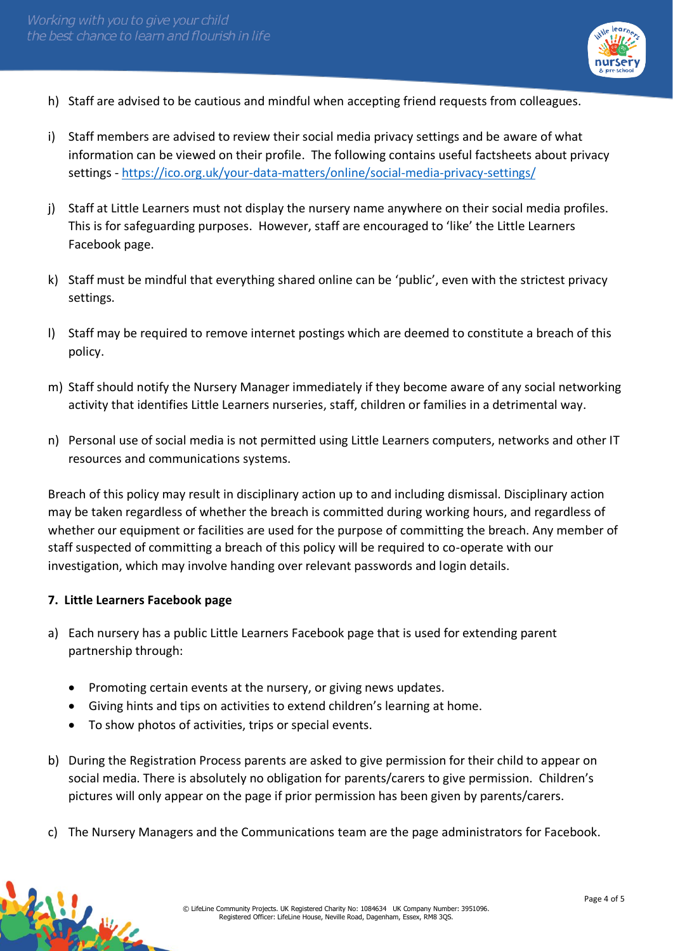

- h) Staff are advised to be cautious and mindful when accepting friend requests from colleagues.
- i) Staff members are advised to review their social media privacy settings and be aware of what information can be viewed on their profile. The following contains useful factsheets about privacy settings - <https://ico.org.uk/your-data-matters/online/social-media-privacy-settings/>
- j) Staff at Little Learners must not display the nursery name anywhere on their social media profiles. This is for safeguarding purposes. However, staff are encouraged to 'like' the Little Learners Facebook page.
- k) Staff must be mindful that everything shared online can be 'public', even with the strictest privacy settings.
- l) Staff may be required to remove internet postings which are deemed to constitute a breach of this policy.
- m) Staff should notify the Nursery Manager immediately if they become aware of any social networking activity that identifies Little Learners nurseries, staff, children or families in a detrimental way.
- n) Personal use of social media is not permitted using Little Learners computers, networks and other IT resources and communications systems.

Breach of this policy may result in disciplinary action up to and including dismissal. Disciplinary action may be taken regardless of whether the breach is committed during working hours, and regardless of whether our equipment or facilities are used for the purpose of committing the breach. Any member of staff suspected of committing a breach of this policy will be required to co-operate with our investigation, which may involve handing over relevant passwords and login details.

# **7. Little Learners Facebook page**

传说

- a) Each nursery has a public Little Learners Facebook page that is used for extending parent partnership through:
	- Promoting certain events at the nursery, or giving news updates.
	- Giving hints and tips on activities to extend children's learning at home.
	- To show photos of activities, trips or special events.
- b) During the Registration Process parents are asked to give permission for their child to appear on social media. There is absolutely no obligation for parents/carers to give permission. Children's pictures will only appear on the page if prior permission has been given by parents/carers.
- c) The Nursery Managers and the Communications team are the page administrators for Facebook.